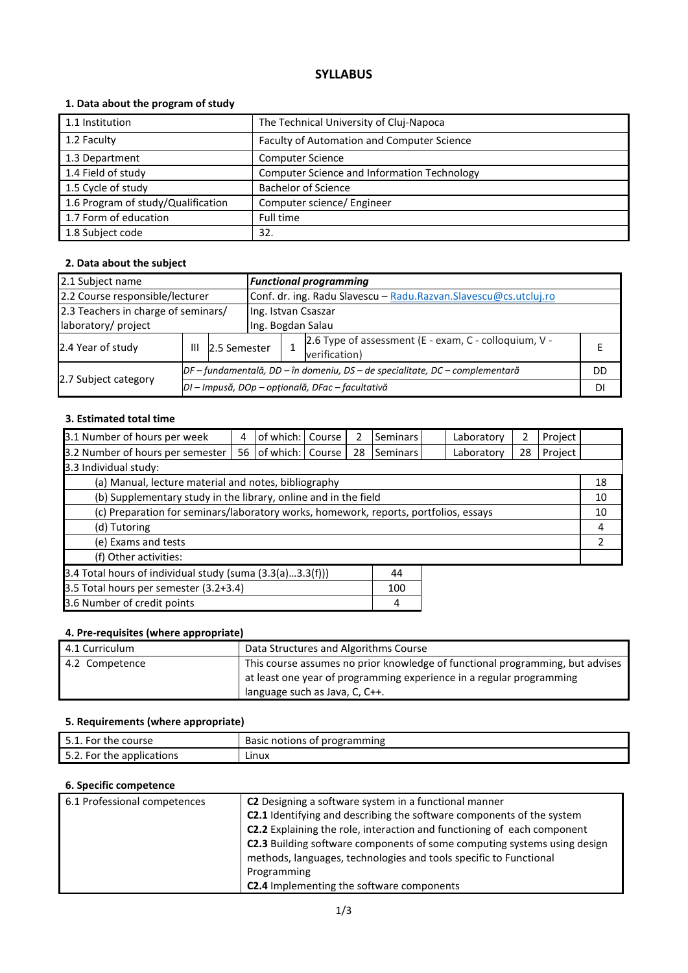# **SYLLABUS**

## **1. Data about the program of study**

| 1.1 Institution                    | The Technical University of Cluj-Napoca           |
|------------------------------------|---------------------------------------------------|
| 1.2 Faculty                        | <b>Faculty of Automation and Computer Science</b> |
| 1.3 Department                     | <b>Computer Science</b>                           |
| 1.4 Field of study                 | Computer Science and Information Technology       |
| 1.5 Cycle of study                 | <b>Bachelor of Science</b>                        |
| 1.6 Program of study/Qualification | Computer science/ Engineer                        |
| 1.7 Form of education              | Full time                                         |
| 1.8 Subject code                   | 32.                                               |

#### **2. Data about the subject**

| 2.1 Subject name                    |                   |                                                                                | <b>Functional programming</b>                                    |  |                                                                        |    |
|-------------------------------------|-------------------|--------------------------------------------------------------------------------|------------------------------------------------------------------|--|------------------------------------------------------------------------|----|
| 2.2 Course responsible/lecturer     |                   |                                                                                | Conf. dr. ing. Radu Slavescu - Radu.Razvan.Slavescu@cs.utcluj.ro |  |                                                                        |    |
| 2.3 Teachers in charge of seminars/ |                   |                                                                                | Ing. Istvan Csaszar                                              |  |                                                                        |    |
| laboratory/ project                 |                   |                                                                                | Ing. Bogdan Salau                                                |  |                                                                        |    |
| 2.4 Year of study                   | 2.5 Semester<br>Ш |                                                                                |                                                                  |  | 2.6 Type of assessment (E - exam, C - colloquium, V -<br>verification) |    |
|                                     |                   | $DF$ – fundamentală, DD – în domeniu, DS – de specialitate, DC – complementară |                                                                  |  |                                                                        | DD |
| 2.7 Subject category                |                   | DI – Impusă, DOp – opțională, DFac – facultativă                               |                                                                  |  |                                                                        |    |

#### **3. Estimated total time**

| 3.1 Number of hours per week                                                         | 4  | of which:          | Course |    | <b>Seminars</b> |  | Laboratory | 2  | Project |    |
|--------------------------------------------------------------------------------------|----|--------------------|--------|----|-----------------|--|------------|----|---------|----|
| 3.2 Number of hours per semester                                                     | 56 | of which:   Course |        | 28 | Seminars        |  | Laboratory | 28 | Project |    |
| 3.3 Individual study:                                                                |    |                    |        |    |                 |  |            |    |         |    |
| (a) Manual, lecture material and notes, bibliography                                 |    |                    |        |    |                 |  |            | 18 |         |    |
| (b) Supplementary study in the library, online and in the field                      |    |                    |        |    |                 |  |            |    |         | 10 |
| (c) Preparation for seminars/laboratory works, homework, reports, portfolios, essays |    |                    |        |    |                 |  | 10         |    |         |    |
| (d) Tutoring                                                                         |    |                    |        |    |                 |  | 4          |    |         |    |
| (e) Exams and tests                                                                  |    |                    |        |    |                 |  | 2          |    |         |    |
| (f) Other activities:                                                                |    |                    |        |    |                 |  |            |    |         |    |
| 3.4 Total hours of individual study (suma $(3.3(a)3.3(f)))$<br>44                    |    |                    |        |    |                 |  |            |    |         |    |
| 3.5 Total hours per semester (3.2+3.4)<br>100                                        |    |                    |        |    |                 |  |            |    |         |    |
| 3.6 Number of credit points<br>4                                                     |    |                    |        |    |                 |  |            |    |         |    |

## **4. Pre-requisites (where appropriate)**

| 4.1 Curriculum | Data Structures and Algorithms Course                                         |
|----------------|-------------------------------------------------------------------------------|
| 4.2 Competence | This course assumes no prior knowledge of functional programming, but advises |
|                | at least one year of programming experience in a regular programming          |
|                | language such as Java, C, C++.                                                |

# **5. Requirements (where appropriate)**

| 5.1. For the course       | Basic notions of programming |
|---------------------------|------------------------------|
| 5.2. For the applications | Linux                        |

## **6. Specific competence**

| 6.1 Professional competences | C <sub>2</sub> Designing a software system in a functional manner            |
|------------------------------|------------------------------------------------------------------------------|
|                              | <b>C2.1</b> Identifying and describing the software components of the system |
|                              | C2.2 Explaining the role, interaction and functioning of each component      |
|                              | C2.3 Building software components of some computing systems using design     |
|                              | methods, languages, technologies and tools specific to Functional            |
|                              | Programming                                                                  |
|                              | C2.4 Implementing the software components                                    |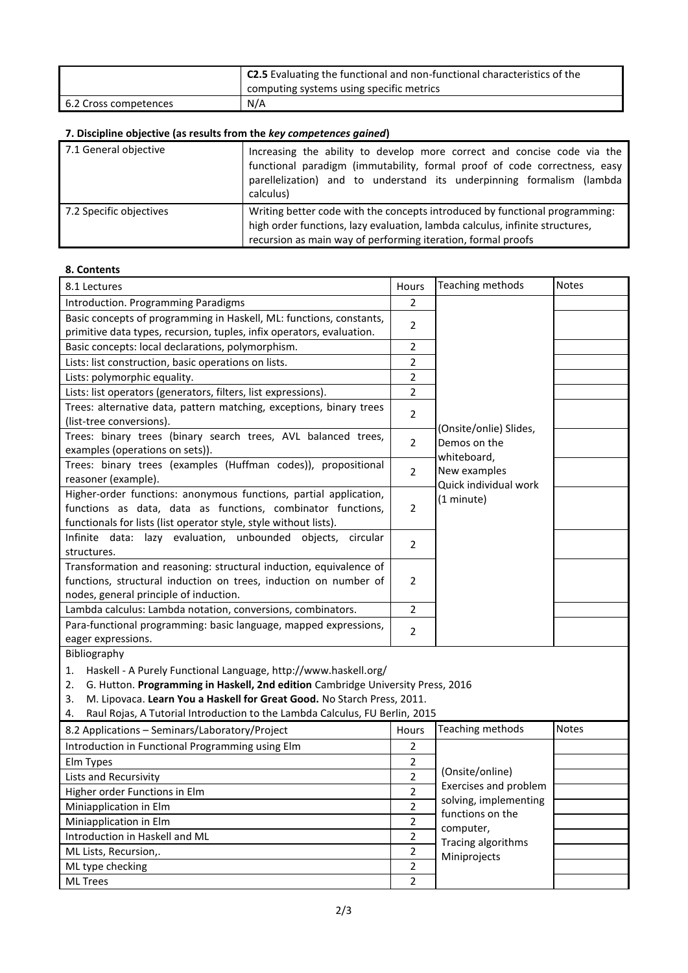|                       | <sup>1</sup> C2.5 Evaluating the functional and non-functional characteristics of the<br>computing systems using specific metrics |
|-----------------------|-----------------------------------------------------------------------------------------------------------------------------------|
| 6.2 Cross competences | N/A                                                                                                                               |

# **7. Discipline objective (as results from the** *key competences gained***)**

| 7.1 General objective   | Increasing the ability to develop more correct and concise code via the<br>functional paradigm (immutability, formal proof of code correctness, easy<br>parellelization) and to understand its underpinning formalism (lambda<br>calculus) |
|-------------------------|--------------------------------------------------------------------------------------------------------------------------------------------------------------------------------------------------------------------------------------------|
| 7.2 Specific objectives | Writing better code with the concepts introduced by functional programming:<br>high order functions, lazy evaluation, lambda calculus, infinite structures,<br>recursion as main way of performing iteration, formal proofs                |

#### **8. Contents**

| 8.1 Lectures                                                                                                                                                                                                                                                                                                                                         | Hours                        | Teaching methods                                      | <b>Notes</b> |
|------------------------------------------------------------------------------------------------------------------------------------------------------------------------------------------------------------------------------------------------------------------------------------------------------------------------------------------------------|------------------------------|-------------------------------------------------------|--------------|
| Introduction. Programming Paradigms                                                                                                                                                                                                                                                                                                                  | 2                            |                                                       |              |
| Basic concepts of programming in Haskell, ML: functions, constants,<br>primitive data types, recursion, tuples, infix operators, evaluation.                                                                                                                                                                                                         | 2                            |                                                       |              |
|                                                                                                                                                                                                                                                                                                                                                      | 2                            |                                                       |              |
| Basic concepts: local declarations, polymorphism.                                                                                                                                                                                                                                                                                                    | 2                            |                                                       |              |
| Lists: list construction, basic operations on lists.                                                                                                                                                                                                                                                                                                 |                              |                                                       |              |
| Lists: polymorphic equality.                                                                                                                                                                                                                                                                                                                         | 2                            |                                                       |              |
| Lists: list operators (generators, filters, list expressions).                                                                                                                                                                                                                                                                                       | $\overline{2}$               |                                                       |              |
| Trees: alternative data, pattern matching, exceptions, binary trees<br>(list-tree conversions).                                                                                                                                                                                                                                                      | 2                            |                                                       |              |
| Trees: binary trees (binary search trees, AVL balanced trees,<br>examples (operations on sets)).                                                                                                                                                                                                                                                     | 2                            | (Onsite/onlie) Slides,<br>Demos on the<br>whiteboard, |              |
| Trees: binary trees (examples (Huffman codes)), propositional<br>reasoner (example).                                                                                                                                                                                                                                                                 | $\overline{2}$               | New examples<br>Quick individual work                 |              |
| Higher-order functions: anonymous functions, partial application,<br>functions as data, data as functions, combinator functions,<br>functionals for lists (list operator style, style without lists).                                                                                                                                                | (1 minute)<br>$\overline{2}$ |                                                       |              |
| Infinite data: lazy evaluation, unbounded objects, circular<br>structures.                                                                                                                                                                                                                                                                           | 2                            |                                                       |              |
| Transformation and reasoning: structural induction, equivalence of<br>functions, structural induction on trees, induction on number of<br>nodes, general principle of induction.                                                                                                                                                                     | 2                            |                                                       |              |
| Lambda calculus: Lambda notation, conversions, combinators.                                                                                                                                                                                                                                                                                          | 2                            |                                                       |              |
| Para-functional programming: basic language, mapped expressions,<br>eager expressions.                                                                                                                                                                                                                                                               | 2                            |                                                       |              |
| Bibliography<br>Haskell - A Purely Functional Language, http://www.haskell.org/<br>1.<br>G. Hutton. Programming in Haskell, 2nd edition Cambridge University Press, 2016<br>2.<br>M. Lipovaca. Learn You a Haskell for Great Good. No Starch Press, 2011.<br>3.<br>Raul Rojas, A Tutorial Introduction to the Lambda Calculus, FU Berlin, 2015<br>4. |                              |                                                       |              |
| 8.2 Applications - Seminars/Laboratory/Project                                                                                                                                                                                                                                                                                                       | Hours                        | Teaching methods                                      | <b>Notes</b> |
| Introduction in Functional Programming using Elm                                                                                                                                                                                                                                                                                                     | 2                            |                                                       |              |
| Elm Types                                                                                                                                                                                                                                                                                                                                            | 2                            |                                                       |              |
| Lists and Recursivity                                                                                                                                                                                                                                                                                                                                |                              | (Onsite/online)                                       |              |
| Higher order Functions in Elm                                                                                                                                                                                                                                                                                                                        |                              | Exercises and problem                                 |              |
| Miniapplication in Elm                                                                                                                                                                                                                                                                                                                               |                              | solving, implementing                                 |              |
| Miniapplication in Elm                                                                                                                                                                                                                                                                                                                               | 2<br>2                       | functions on the                                      |              |
| Introduction in Haskell and ML                                                                                                                                                                                                                                                                                                                       | 2                            | computer,                                             |              |
| ML Lists, Recursion,.                                                                                                                                                                                                                                                                                                                                | $\overline{2}$               | Tracing algorithms                                    |              |
| ML type checking                                                                                                                                                                                                                                                                                                                                     | $\overline{2}$               | Miniprojects                                          |              |
| <b>ML Trees</b>                                                                                                                                                                                                                                                                                                                                      | $\overline{2}$               |                                                       |              |